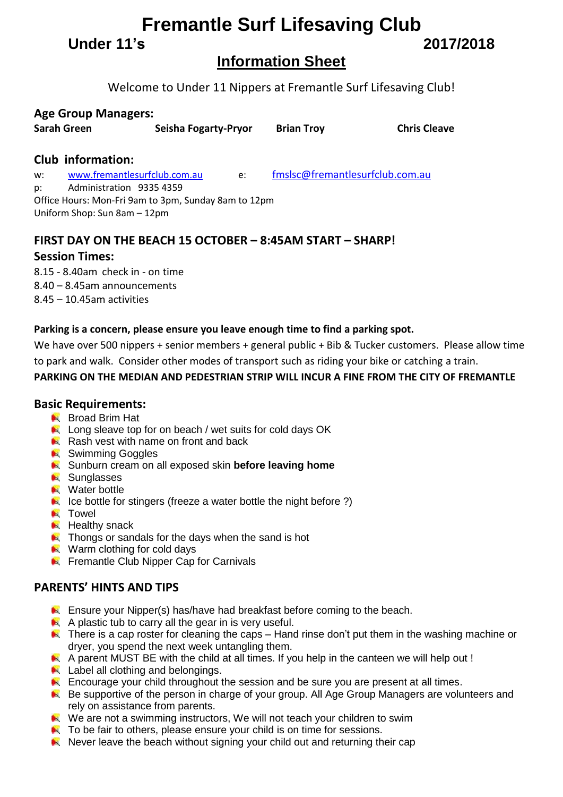# **Fremantle Surf Lifesaving Club**

**Under 11's 2017/2018**

# **Information Sheet**

Welcome to Under 11 Nippers at Fremantle Surf Lifesaving Club!

## **Age Group Managers:**

| Sarah Green | <b>Seisha Fogarty-Pryor</b> | <b>Brian Troy</b> | <b>Chris Cleave</b> |
|-------------|-----------------------------|-------------------|---------------------|
|             |                             |                   |                     |

## **Club information:**

w: [www.fremantlesurfclub.com.au](http://www.fremantlesurfclub.com.au/) e: [fmslsc@fremantlesurfclub.com.au](mailto:fmslsc@fremantlesurfclub.com.au) p: Administration 9335 4359 Office Hours: Mon-Fri 9am to 3pm, Sunday 8am to 12pm Uniform Shop: Sun 8am – 12pm

# **FIRST DAY ON THE BEACH 15 OCTOBER – 8:45AM START – SHARP!**

## **Session Times:**

8.15 - 8.40am check in - on time 8.40 – 8.45am announcements 8.45 – 10.45am activities

### **Parking is a concern, please ensure you leave enough time to find a parking spot.**

We have over 500 nippers + senior members + general public + Bib & Tucker customers. Please allow time to park and walk. Consider other modes of transport such as riding your bike or catching a train.

### **PARKING ON THE MEDIAN AND PEDESTRIAN STRIP WILL INCUR A FINE FROM THE CITY OF FREMANTLE**

### **Basic Requirements:**

- **Broad Brim Hat**
- Long sleave top for on beach / wet suits for cold days OK
- Rash vest with name on front and back
- **N** Swimming Goggles
- **K** Sunburn cream on all exposed skin **before leaving home**
- **N** Sunglasses
- **N** Water bottle
- $\blacktriangleright$  Ice bottle for stingers (freeze a water bottle the night before ?)
- **N** Towel
- $H$  Healthy snack
- **A** Thongs or sandals for the days when the sand is hot
- Warm clothing for cold days
- **EX** Fremantle Club Nipper Cap for Carnivals

### **PARENTS' HINTS AND TIPS**

- **Ensure your Nipper(s) has/have had breakfast before coming to the beach.**
- $\blacktriangle$  A plastic tub to carry all the gear in is very useful.
- $\blacktriangleright$  There is a cap roster for cleaning the caps Hand rinse don't put them in the washing machine or dryer, you spend the next week untangling them.
- A parent MUST BE with the child at all times. If you help in the canteen we will help out !
- **Label all clothing and belongings.**
- **Encourage your child throughout the session and be sure you are present at all times.**
- Be supportive of the person in charge of your group. All Age Group Managers are volunteers and rely on assistance from parents.
- We are not a swimming instructors, We will not teach your children to swim
- **A** To be fair to others, please ensure your child is on time for sessions.
- $\blacktriangleright$  Never leave the beach without signing your child out and returning their cap